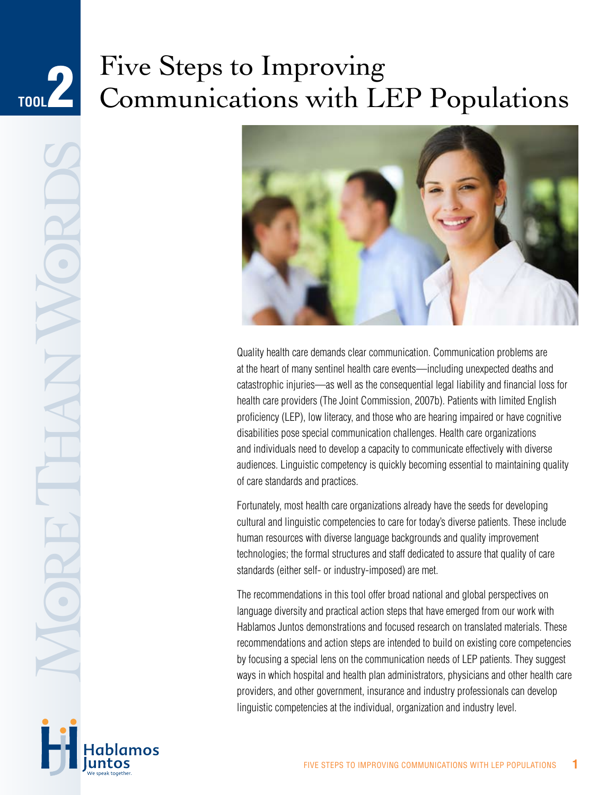## Five Steps to Improving Communications with LEP Populations **Tool**2



Quality health care demands clear communication. Communication problems are at the heart of many sentinel health care events—including unexpected deaths and catastrophic injuries—as well as the consequential legal liability and financial loss for health care providers (The Joint Commission, 2007b). Patients with limited English proficiency (LEP), low literacy, and those who are hearing impaired or have cognitive disabilities pose special communication challenges. Health care organizations and individuals need to develop a capacity to communicate effectively with diverse audiences. Linguistic competency is quickly becoming essential to maintaining quality of care standards and practices.

Fortunately, most health care organizations already have the seeds for developing cultural and linguistic competencies to care for today's diverse patients. These include human resources with diverse language backgrounds and quality improvement technologies; the formal structures and staff dedicated to assure that quality of care standards (either self- or industry-imposed) are met.

The recommendations in this tool offer broad national and global perspectives on language diversity and practical action steps that have emerged from our work with Hablamos Juntos demonstrations and focused research on translated materials. These recommendations and action steps are intended to build on existing core competencies by focusing a special lens on the communication needs of LEP patients. They suggest ways in which hospital and health plan administrators, physicians and other health care providers, and other government, insurance and industry professionals can develop linguistic competencies at the individual, organization and industry level.

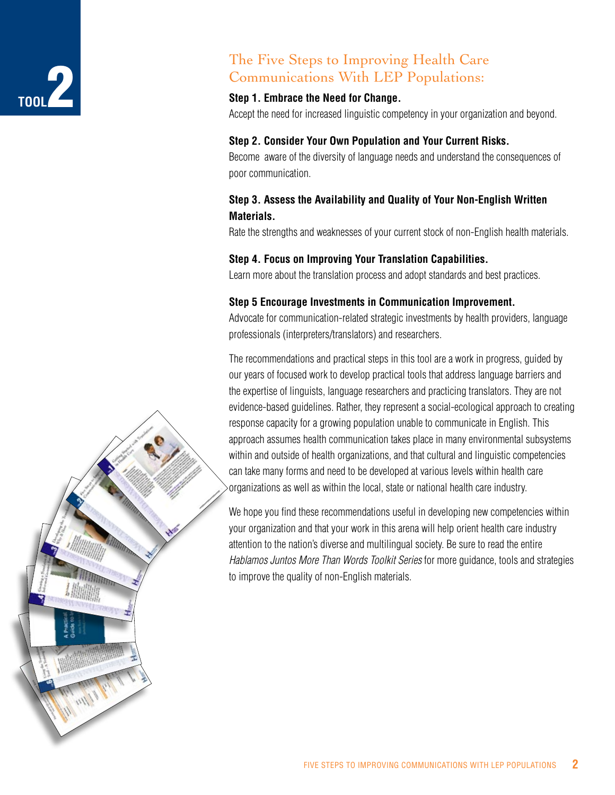# **Tool**2

## The Five Steps to Improving Health Care Communications With LEP Populations:

### **Step 1. Embrace the Need for Change.**

Accept the need for increased linguistic competency in your organization and beyond.

## **Step 2. Consider Your Own Population and Your Current Risks.**

Become aware of the diversity of language needs and understand the consequences of poor communication.

## **Step 3. Assess the Availability and Quality of Your Non-English Written Materials.**

Rate the strengths and weaknesses of your current stock of non-English health materials.

## **Step 4. Focus on Improving Your Translation Capabilities.**

Learn more about the translation process and adopt standards and best practices.

### **Step 5 Encourage Investments in Communication Improvement.**

Advocate for communication-related strategic investments by health providers, language professionals (interpreters/translators) and researchers.

The recommendations and practical steps in this tool are a work in progress, guided by our years of focused work to develop practical tools that address language barriers and the expertise of linguists, language researchers and practicing translators. They are not evidence-based guidelines. Rather, they represent a social-ecological approach to creating response capacity for a growing population unable to communicate in English. This approach assumes health communication takes place in many environmental subsystems within and outside of health organizations, and that cultural and linguistic competencies can take many forms and need to be developed at various levels within health care organizations as well as within the local, state or national health care industry.

We hope you find these recommendations useful in developing new competencies within your organization and that your work in this arena will help orient health care industry attention to the nation's diverse and multilingual society. Be sure to read the entire *Hablamos Juntos More Than Words Toolkit Series* for more guidance, tools and strategies to improve the quality of non-English materials.

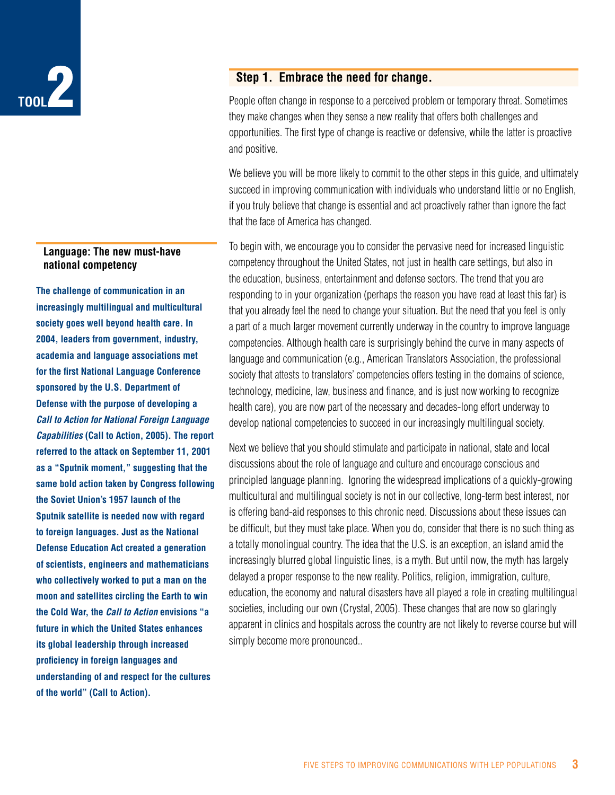

#### **Language: The new must-have national competency**

**The challenge of communication in an increasingly multilingual and multicultural society goes well beyond health care. In 2004, leaders from government, industry, academia and language associations met for the first National Language Conference sponsored by the U.S. Department of Defense with the purpose of developing a**  *Call to Action for National Foreign Language Capabilities* **(Call to Action, 2005). The report referred to the attack on September 11, 2001 as a "Sputnik moment," suggesting that the same bold action taken by Congress following the Soviet Union's 1957 launch of the Sputnik satellite is needed now with regard to foreign languages. Just as the National Defense Education Act created a generation of scientists, engineers and mathematicians who collectively worked to put a man on the moon and satellites circling the Earth to win the Cold War, the** *Call to Action* **envisions "a future in which the United States enhances its global leadership through increased proficiency in foreign languages and understanding of and respect for the cultures of the world" (Call to Action).**

### **Step 1. Embrace the need for change.**

People often change in response to a perceived problem or temporary threat. Sometimes they make changes when they sense a new reality that offers both challenges and opportunities. The first type of change is reactive or defensive, while the latter is proactive and positive.

We believe you will be more likely to commit to the other steps in this guide, and ultimately succeed in improving communication with individuals who understand little or no English, if you truly believe that change is essential and act proactively rather than ignore the fact that the face of America has changed.

To begin with, we encourage you to consider the pervasive need for increased linguistic competency throughout the United States, not just in health care settings, but also in the education, business, entertainment and defense sectors. The trend that you are responding to in your organization (perhaps the reason you have read at least this far) is that you already feel the need to change your situation. But the need that you feel is only a part of a much larger movement currently underway in the country to improve language competencies. Although health care is surprisingly behind the curve in many aspects of language and communication (e.g., American Translators Association, the professional society that attests to translators' competencies offers testing in the domains of science, technology, medicine, law, business and finance, and is just now working to recognize health care), you are now part of the necessary and decades-long effort underway to develop national competencies to succeed in our increasingly multilingual society.

Next we believe that you should stimulate and participate in national, state and local discussions about the role of language and culture and encourage conscious and principled language planning. Ignoring the widespread implications of a quickly-growing multicultural and multilingual society is not in our collective, long-term best interest, nor is offering band-aid responses to this chronic need. Discussions about these issues can be difficult, but they must take place. When you do, consider that there is no such thing as a totally monolingual country. The idea that the U.S. is an exception, an island amid the increasingly blurred global linguistic lines, is a myth. But until now, the myth has largely delayed a proper response to the new reality. Politics, religion, immigration, culture, education, the economy and natural disasters have all played a role in creating multilingual societies, including our own (Crystal, 2005). These changes that are now so glaringly apparent in clinics and hospitals across the country are not likely to reverse course but will simply become more pronounced..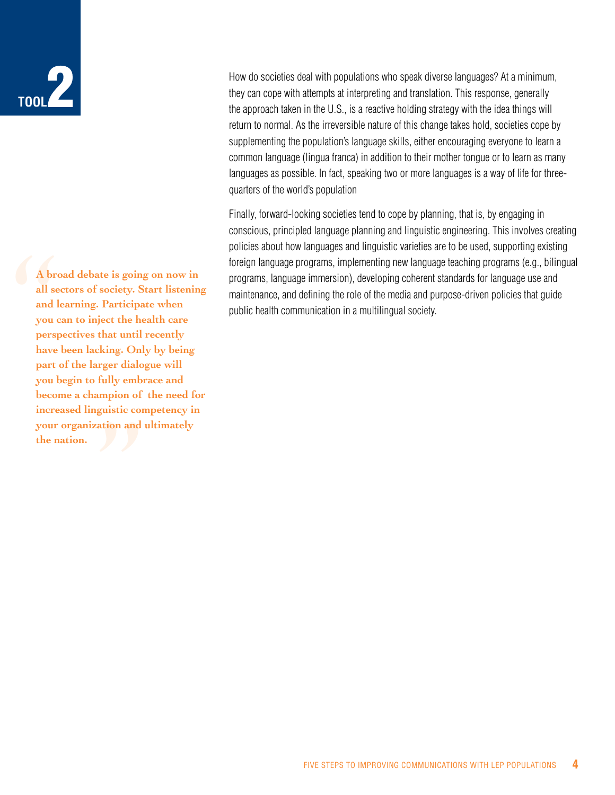## **Tool**2

A bro<br>all see<br>and le<br>you c<br>persp<br>have<br>part of rger dialo<br>fully emb<br>mpion of<br>guistic contion<br>and **A broad debate is going on now in all sectors of society. Start listening and learning. Participate when you can to inject the health care perspectives that until recently have been lacking. Only by being part of the larger dialogue will you begin to fully embrace and become a champion of the need for increased linguistic competency in your organization and ultimately the nation.** 

How do societies deal with populations who speak diverse languages? At a minimum, they can cope with attempts at interpreting and translation. This response, generally the approach taken in the U.S., is a reactive holding strategy with the idea things will return to normal. As the irreversible nature of this change takes hold, societies cope by supplementing the population's language skills, either encouraging everyone to learn a common language (lingua franca) in addition to their mother tongue or to learn as many languages as possible. In fact, speaking two or more languages is a way of life for threequarters of the world's population

Finally, forward-looking societies tend to cope by planning, that is, by engaging in conscious, principled language planning and linguistic engineering. This involves creating policies about how languages and linguistic varieties are to be used, supporting existing foreign language programs, implementing new language teaching programs (e.g., bilingual programs, language immersion), developing coherent standards for language use and maintenance, and defining the role of the media and purpose-driven policies that guide public health communication in a multilingual society.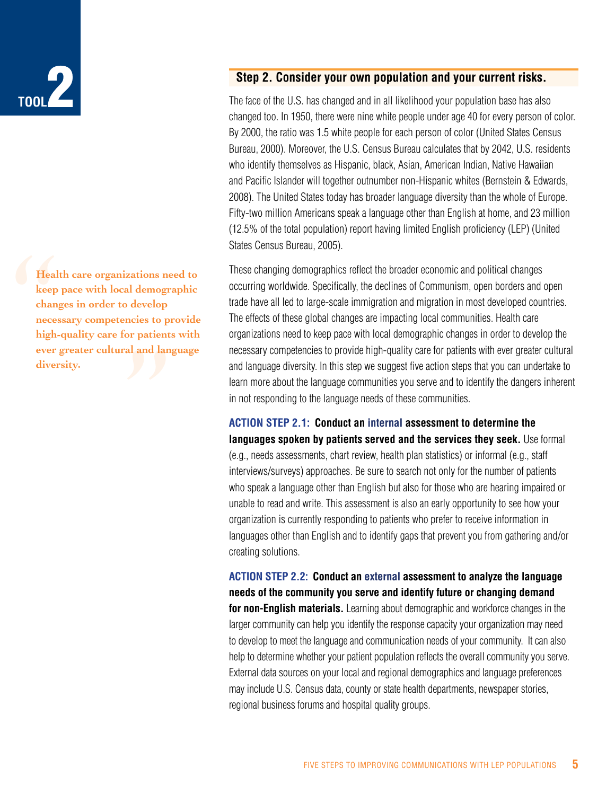

Mealt<br>
keep<br>
chang<br>
neces<br>
high-<br>
ever<br>
diver **Health care organizations need to keep pace with local demographic changes in order to develop**  d demogr<br>develop<br>ncies to pr<br>nr patient<br>al and lan **necessary competencies to provide high-quality care for patients with ever greater cultural and language diversity.**

### **Step 2. Consider your own population and your current risks.**

The face of the U.S. has changed and in all likelihood your population base has also changed too. In 1950, there were nine white people under age 40 for every person of color. By 2000, the ratio was 1.5 white people for each person of color (United States Census Bureau, 2000). Moreover, the U.S. Census Bureau calculates that by 2042, U.S. residents who identify themselves as Hispanic, black, Asian, American Indian, Native Hawaiian and Pacific Islander will together outnumber non-Hispanic whites (Bernstein & Edwards, 2008). The United States today has broader language diversity than the whole of Europe. Fifty-two million Americans speak a language other than English at home, and 23 million (12.5% of the total population) report having limited English proficiency (LEP) (United States Census Bureau, 2005).

These changing demographics reflect the broader economic and political changes occurring worldwide. Specifically, the declines of Communism, open borders and open trade have all led to large-scale immigration and migration in most developed countries. The effects of these global changes are impacting local communities. Health care organizations need to keep pace with local demographic changes in order to develop the necessary competencies to provide high-quality care for patients with ever greater cultural and language diversity. In this step we suggest five action steps that you can undertake to learn more about the language communities you serve and to identify the dangers inherent in not responding to the language needs of these communities.

**Action Step 2.1: Conduct an internal assessment to determine the languages spoken by patients served and the services they seek.** Use formal (e.g., needs assessments, chart review, health plan statistics) or informal (e.g., staff interviews/surveys) approaches. Be sure to search not only for the number of patients who speak a language other than English but also for those who are hearing impaired or unable to read and write. This assessment is also an early opportunity to see how your organization is currently responding to patients who prefer to receive information in languages other than English and to identify gaps that prevent you from gathering and/or creating solutions.

**Action Step 2.2: Conduct an external assessment to analyze the language needs of the community you serve and identify future or changing demand for non-English materials.** Learning about demographic and workforce changes in the

larger community can help you identify the response capacity your organization may need to develop to meet the language and communication needs of your community. It can also help to determine whether your patient population reflects the overall community you serve. External data sources on your local and regional demographics and language preferences may include U.S. Census data, county or state health departments, newspaper stories, regional business forums and hospital quality groups.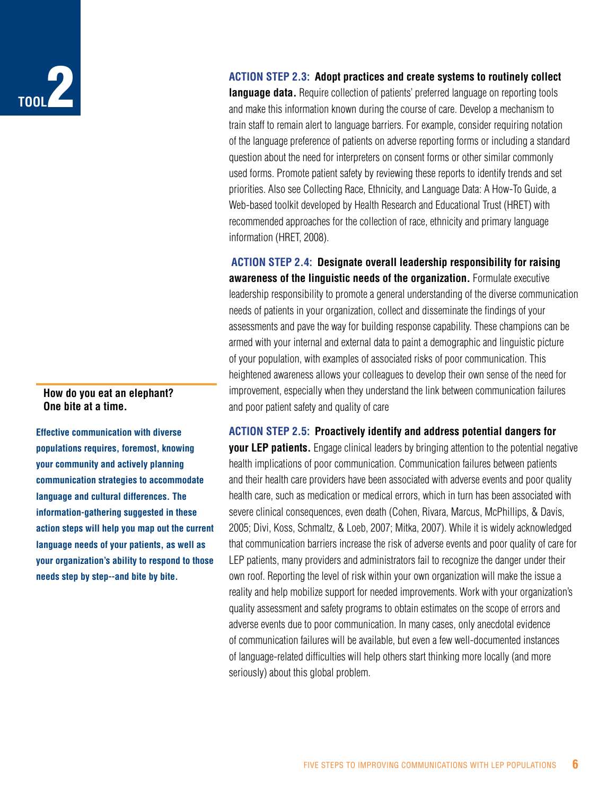

#### **How do you eat an elephant? One bite at a time.**

**Effective communication with diverse populations requires, foremost, knowing your community and actively planning communication strategies to accommodate language and cultural differences. The information-gathering suggested in these action steps will help you map out the current language needs of your patients, as well as your organization's ability to respond to those needs step by step--and bite by bite.**

#### **Action Step 2.3: Adopt practices and create systems to routinely collect**

**language data.** Require collection of patients' preferred language on reporting tools and make this information known during the course of care. Develop a mechanism to train staff to remain alert to language barriers. For example, consider requiring notation of the language preference of patients on adverse reporting forms or including a standard question about the need for interpreters on consent forms or other similar commonly used forms. Promote patient safety by reviewing these reports to identify trends and set priorities. Also see Collecting Race, Ethnicity, and Language Data: A How-To Guide, a Web-based toolkit developed by Health Research and Educational Trust (HRET) with recommended approaches for the collection of race, ethnicity and primary language information (HRET, 2008).

**Action Step 2.4: Designate overall leadership responsibility for raising awareness of the linguistic needs of the organization.** Formulate executive leadership responsibility to promote a general understanding of the diverse communication needs of patients in your organization, collect and disseminate the findings of your assessments and pave the way for building response capability. These champions can be armed with your internal and external data to paint a demographic and linguistic picture of your population, with examples of associated risks of poor communication. This heightened awareness allows your colleagues to develop their own sense of the need for improvement, especially when they understand the link between communication failures and poor patient safety and quality of care

**Action Step 2.5: Proactively identify and address potential dangers for your LEP patients.** Engage clinical leaders by bringing attention to the potential negative health implications of poor communication. Communication failures between patients and their health care providers have been associated with adverse events and poor quality health care, such as medication or medical errors, which in turn has been associated with severe clinical consequences, even death (Cohen, Rivara, Marcus, McPhillips, & Davis, 2005; Divi, Koss, Schmaltz, & Loeb, 2007; Mitka, 2007). While it is widely acknowledged that communication barriers increase the risk of adverse events and poor quality of care for LEP patients, many providers and administrators fail to recognize the danger under their own roof. Reporting the level of risk within your own organization will make the issue a reality and help mobilize support for needed improvements. Work with your organization's quality assessment and safety programs to obtain estimates on the scope of errors and adverse events due to poor communication. In many cases, only anecdotal evidence of communication failures will be available, but even a few well-documented instances of language-related difficulties will help others start thinking more locally (and more seriously) about this global problem.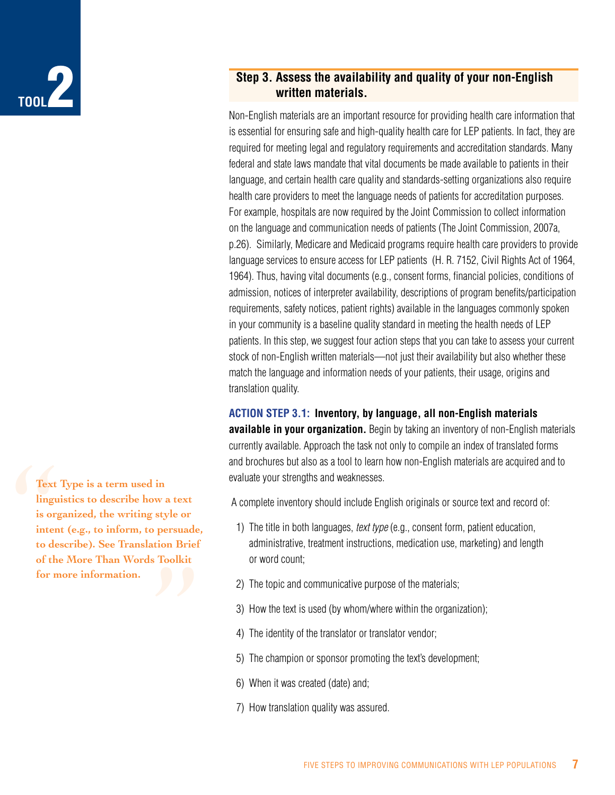

## **Step 3. Assess the availability and quality of your non-English written materials.**

Non-English materials are an important resource for providing health care information that is essential for ensuring safe and high-quality health care for LEP patients. In fact, they are required for meeting legal and regulatory requirements and accreditation standards. Many federal and state laws mandate that vital documents be made available to patients in their language, and certain health care quality and standards-setting organizations also require health care providers to meet the language needs of patients for accreditation purposes. For example, hospitals are now required by the Joint Commission to collect information on the language and communication needs of patients (The Joint Commission, 2007a, p.26). Similarly, Medicare and Medicaid programs require health care providers to provide language services to ensure access for LEP patients (H. R. 7152, Civil Rights Act of 1964, 1964). Thus, having vital documents (e.g., consent forms, financial policies, conditions of admission, notices of interpreter availability, descriptions of program benefits/participation requirements, safety notices, patient rights) available in the languages commonly spoken in your community is a baseline quality standard in meeting the health needs of LEP patients. In this step, we suggest four action steps that you can take to assess your current stock of non-English written materials—not just their availability but also whether these match the language and information needs of your patients, their usage, origins and translation quality.

#### **Action Step 3.1: Inventory, by language, all non-English materials**

**available in your organization.** Begin by taking an inventory of non-English materials currently available. Approach the task not only to compile an index of translated forms and brochures but also as a tool to learn how non-English materials are acquired and to evaluate your strengths and weaknesses.

A complete inventory should include English originals or source text and record of:

- 1) The title in both languages, *text type* (e.g., consent form, patient education, administrative, treatment instructions, medication use, marketing) and length or word count;
- 2) The topic and communicative purpose of the materials;
- 3) How the text is used (by whom/where within the organization);
- 4) The identity of the translator or translator vendor;
- 5) The champion or sponsor promoting the text's development;
- 6) When it was created (date) and;
- 7) How translation quality was assured.

Text<br>
lingui<br>
is org<br>
inten<br>
to des<br>
of the<br>
for m **Text Type is a term used in linguistics to describe how a text is organized, the writing style or**  style or<br>persuade<br>tion Brief<br>Toolkit **intent (e.g., to inform, to persuade, to describe). See Translation Brief of the More Than Words Toolkit for more information.**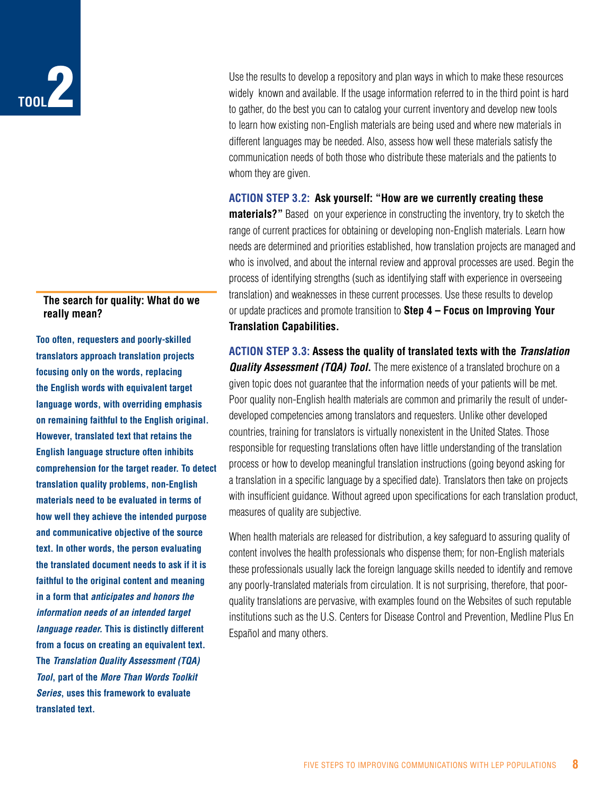## **Tool**2

#### **The search for quality: What do we really mean?**

**Too often, requesters and poorly-skilled translators approach translation projects focusing only on the words, replacing the English words with equivalent target language words, with overriding emphasis on remaining faithful to the English original. However, translated text that retains the English language structure often inhibits comprehension for the target reader. To detect translation quality problems, non-English materials need to be evaluated in terms of how well they achieve the intended purpose and communicative objective of the source text. In other words, the person evaluating the translated document needs to ask if it is faithful to the original content and meaning in a form that** *anticipates and honors the information needs of an intended target language reader.* **This is distinctly different from a focus on creating an equivalent text. The** *Translation Quality Assessment (TQA) Tool***, part of the** *More Than Words Toolkit Series***, uses this framework to evaluate translated text.** 

Use the results to develop a repository and plan ways in which to make these resources widely known and available. If the usage information referred to in the third point is hard to gather, do the best you can to catalog your current inventory and develop new tools to learn how existing non-English materials are being used and where new materials in different languages may be needed. Also, assess how well these materials satisfy the communication needs of both those who distribute these materials and the patients to whom they are given.

#### **Action Step 3.2: Ask yourself: "How are we currently creating these**

**materials?**" Based on your experience in constructing the inventory, try to sketch the range of current practices for obtaining or developing non-English materials. Learn how needs are determined and priorities established, how translation projects are managed and who is involved, and about the internal review and approval processes are used. Begin the process of identifying strengths (such as identifying staff with experience in overseeing translation) and weaknesses in these current processes. Use these results to develop or update practices and promote transition to **Step 4 – Focus on Improving Your Translation Capabilities.**

**Action Step 3.3: Assess the quality of translated texts with the** *Translation Quality Assessment (TQA) Tool***.** The mere existence of a translated brochure on a given topic does not guarantee that the information needs of your patients will be met. Poor quality non-English health materials are common and primarily the result of underdeveloped competencies among translators and requesters. Unlike other developed countries, training for translators is virtually nonexistent in the United States. Those responsible for requesting translations often have little understanding of the translation process or how to develop meaningful translation instructions (going beyond asking for a translation in a specific language by a specified date). Translators then take on projects with insufficient guidance. Without agreed upon specifications for each translation product, measures of quality are subjective.

When health materials are released for distribution, a key safeguard to assuring quality of content involves the health professionals who dispense them; for non-English materials these professionals usually lack the foreign language skills needed to identify and remove any poorly-translated materials from circulation. It is not surprising, therefore, that poorquality translations are pervasive, with examples found on the Websites of such reputable institutions such as the U.S. Centers for Disease Control and Prevention, Medline Plus En Español and many others.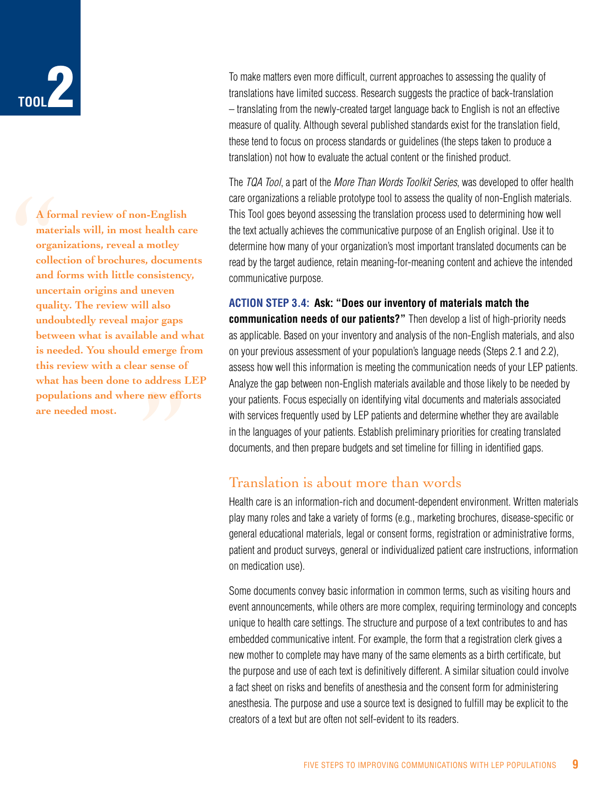

A for<br>mater<br>organ<br>collec<br>and f<br>uncer<br>qualit ble and w<br>emerge fi<br>r sense of<br>address l<br>e new effc **A formal review of non-English materials will, in most health care organizations, reveal a motley collection of brochures, documents and forms with little consistency, uncertain origins and uneven quality. The review will also undoubtedly reveal major gaps between what is available and what is needed. You should emerge from this review with a clear sense of what has been done to address LEP populations and where new efforts are needed most.**

To make matters even more difficult, current approaches to assessing the quality of translations have limited success. Research suggests the practice of back-translation – translating from the newly-created target language back to English is not an effective measure of quality. Although several published standards exist for the translation field, these tend to focus on process standards or guidelines (the steps taken to produce a translation) not how to evaluate the actual content or the finished product.

The *TQA Tool*, a part of the *More Than Words Toolkit Series*, was developed to offer health care organizations a reliable prototype tool to assess the quality of non-English materials. This Tool goes beyond assessing the translation process used to determining how well the text actually achieves the communicative purpose of an English original. Use it to determine how many of your organization's most important translated documents can be read by the target audience, retain meaning-for-meaning content and achieve the intended communicative purpose.

**Action Step 3.4: Ask: "Does our inventory of materials match the communication needs of our patients?"** Then develop a list of high-priority needs as applicable. Based on your inventory and analysis of the non-English materials, and also on your previous assessment of your population's language needs (Steps 2.1 and 2.2), assess how well this information is meeting the communication needs of your LEP patients. Analyze the gap between non-English materials available and those likely to be needed by your patients. Focus especially on identifying vital documents and materials associated with services frequently used by LEP patients and determine whether they are available in the languages of your patients. Establish preliminary priorities for creating translated documents, and then prepare budgets and set timeline for filling in identified gaps.

## Translation is about more than words

Health care is an information-rich and document-dependent environment. Written materials play many roles and take a variety of forms (e.g., marketing brochures, disease-specific or general educational materials, legal or consent forms, registration or administrative forms, patient and product surveys, general or individualized patient care instructions, information on medication use).

Some documents convey basic information in common terms, such as visiting hours and event announcements, while others are more complex, requiring terminology and concepts unique to health care settings. The structure and purpose of a text contributes to and has embedded communicative intent. For example, the form that a registration clerk gives a new mother to complete may have many of the same elements as a birth certificate, but the purpose and use of each text is definitively different. A similar situation could involve a fact sheet on risks and benefits of anesthesia and the consent form for administering anesthesia. The purpose and use a source text is designed to fulfill may be explicit to the creators of a text but are often not self-evident to its readers.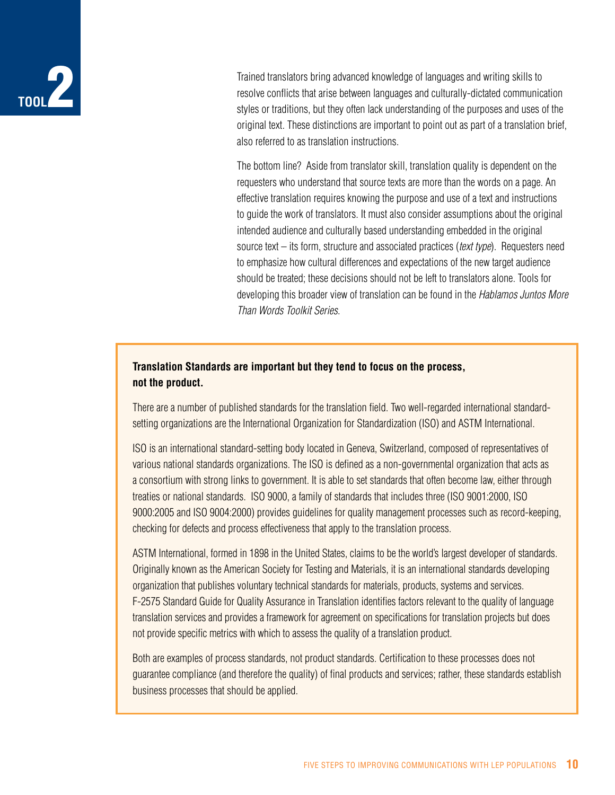## **Tool**2

Trained translators bring advanced knowledge of languages and writing skills to resolve conflicts that arise between languages and culturally-dictated communication styles or traditions, but they often lack understanding of the purposes and uses of the original text. These distinctions are important to point out as part of a translation brief, also referred to as translation instructions.

The bottom line? Aside from translator skill, translation quality is dependent on the requesters who understand that source texts are more than the words on a page. An effective translation requires knowing the purpose and use of a text and instructions to guide the work of translators. It must also consider assumptions about the original intended audience and culturally based understanding embedded in the original source text – its form, structure and associated practices (*text type*). Requesters need to emphasize how cultural differences and expectations of the new target audience should be treated; these decisions should not be left to translators alone. Tools for developing this broader view of translation can be found in the *Hablamos Juntos More Than Words Toolkit Series*.

## **Translation Standards are important but they tend to focus on the process, not the product.**

There are a number of published standards for the translation field. Two well-regarded international standardsetting organizations are the International Organization for Standardization (ISO) and ASTM International.

ISO is an international standard-setting body located in Geneva, Switzerland, composed of representatives of various national standards organizations. The ISO is defined as a non-governmental organization that acts as a consortium with strong links to government. It is able to set standards that often become law, either through treaties or national standards. ISO 9000, a family of standards that includes three (ISO 9001:2000, ISO 9000:2005 and ISO 9004:2000) provides guidelines for quality management processes such as record-keeping, checking for defects and process effectiveness that apply to the translation process.

ASTM International, formed in 1898 in the United States, claims to be the world's largest developer of standards. Originally known as the American Society for Testing and Materials, it is an international standards developing organization that publishes voluntary technical standards for materials, products, systems and services. F-2575 Standard Guide for Quality Assurance in Translation identifies factors relevant to the quality of language translation services and provides a framework for agreement on specifications for translation projects but does not provide specific metrics with which to assess the quality of a translation product.

Both are examples of process standards, not product standards. Certification to these processes does not guarantee compliance (and therefore the quality) of final products and services; rather, these standards establish business processes that should be applied.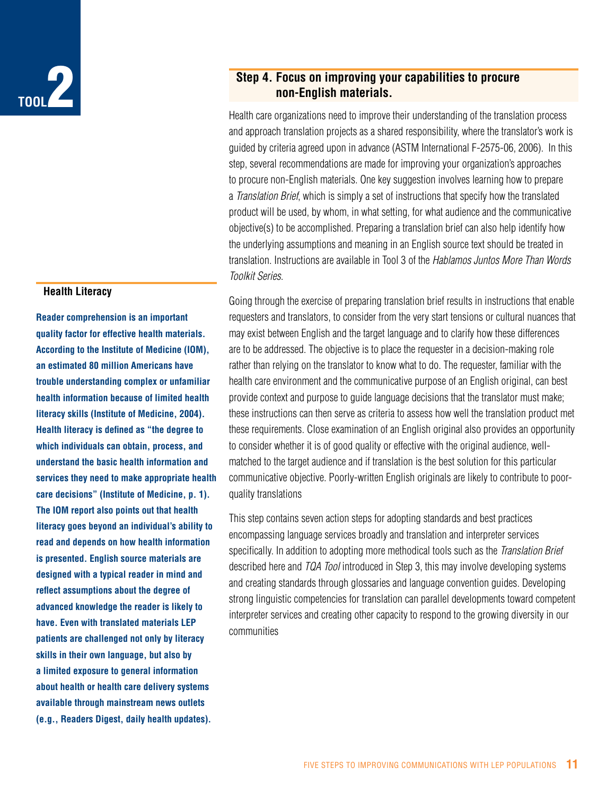

#### **Health Literacy**

**Reader comprehension is an important quality factor for effective health materials. According to the Institute of Medicine (IOM), an estimated 80 million Americans have trouble understanding complex or unfamiliar health information because of limited health literacy skills (Institute of Medicine, 2004). Health literacy is defined as "the degree to which individuals can obtain, process, and understand the basic health information and services they need to make appropriate health care decisions" (Institute of Medicine, p. 1). The IOM report also points out that health literacy goes beyond an individual's ability to read and depends on how health information is presented. English source materials are designed with a typical reader in mind and reflect assumptions about the degree of advanced knowledge the reader is likely to have. Even with translated materials LEP patients are challenged not only by literacy skills in their own language, but also by a limited exposure to general information about health or health care delivery systems available through mainstream news outlets (e.g., Readers Digest, daily health updates).**

## **Step 4. Focus on improving your capabilities to procure non-English materials.**

Health care organizations need to improve their understanding of the translation process and approach translation projects as a shared responsibility, where the translator's work is guided by criteria agreed upon in advance (ASTM International F-2575-06, 2006). In this step, several recommendations are made for improving your organization's approaches to procure non-English materials. One key suggestion involves learning how to prepare a *Translation Brief*, which is simply a set of instructions that specify how the translated product will be used, by whom, in what setting, for what audience and the communicative objective(s) to be accomplished. Preparing a translation brief can also help identify how the underlying assumptions and meaning in an English source text should be treated in translation. Instructions are available in Tool 3 of the *Hablamos Juntos More Than Words Toolkit Series*.

Going through the exercise of preparing translation brief results in instructions that enable requesters and translators, to consider from the very start tensions or cultural nuances that may exist between English and the target language and to clarify how these differences are to be addressed. The objective is to place the requester in a decision-making role rather than relying on the translator to know what to do. The requester, familiar with the health care environment and the communicative purpose of an English original, can best provide context and purpose to guide language decisions that the translator must make; these instructions can then serve as criteria to assess how well the translation product met these requirements. Close examination of an English original also provides an opportunity to consider whether it is of good quality or effective with the original audience, wellmatched to the target audience and if translation is the best solution for this particular communicative objective. Poorly-written English originals are likely to contribute to poorquality translations

This step contains seven action steps for adopting standards and best practices encompassing language services broadly and translation and interpreter services specifically. In addition to adopting more methodical tools such as the *Translation Brief* described here and *TQA Tool* introduced in Step 3, this may involve developing systems and creating standards through glossaries and language convention guides. Developing strong linguistic competencies for translation can parallel developments toward competent interpreter services and creating other capacity to respond to the growing diversity in our communities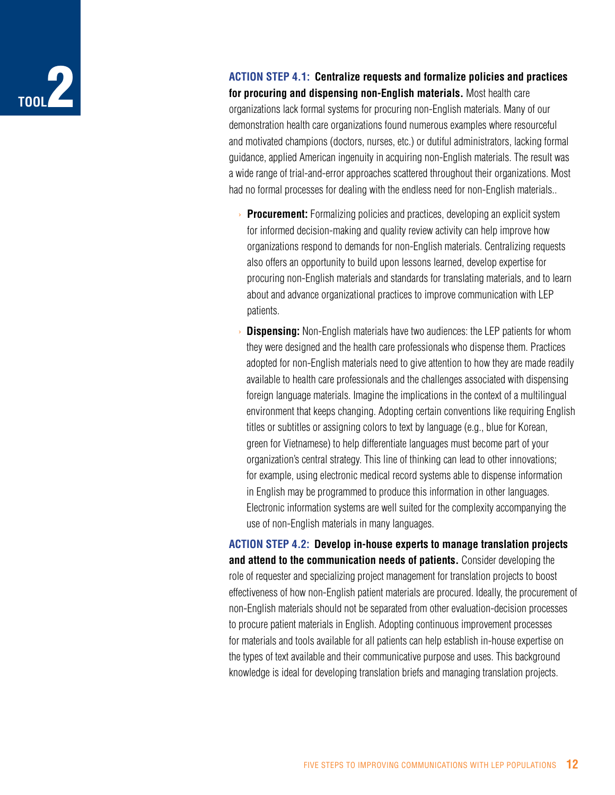

**Action Step 4.1: Centralize requests and formalize policies and practices for procuring and dispensing non-English materials.** Most health care organizations lack formal systems for procuring non-English materials. Many of our demonstration health care organizations found numerous examples where resourceful and motivated champions (doctors, nurses, etc.) or dutiful administrators, lacking formal guidance, applied American ingenuity in acquiring non-English materials. The result was a wide range of trial-and-error approaches scattered throughout their organizations. Most had no formal processes for dealing with the endless need for non-English materials..

- **Procurement:** Formalizing policies and practices, developing an explicit system for informed decision-making and quality review activity can help improve how organizations respond to demands for non-English materials. Centralizing requests also offers an opportunity to build upon lessons learned, develop expertise for procuring non-English materials and standards for translating materials, and to learn about and advance organizational practices to improve communication with LEP patients.
- **Dispensing:** Non-English materials have two audiences: the LEP patients for whom they were designed and the health care professionals who dispense them. Practices adopted for non-English materials need to give attention to how they are made readily available to health care professionals and the challenges associated with dispensing foreign language materials. Imagine the implications in the context of a multilingual environment that keeps changing. Adopting certain conventions like requiring English titles or subtitles or assigning colors to text by language (e.g., blue for Korean, green for Vietnamese) to help differentiate languages must become part of your organization's central strategy. This line of thinking can lead to other innovations; for example, using electronic medical record systems able to dispense information in English may be programmed to produce this information in other languages. Electronic information systems are well suited for the complexity accompanying the use of non-English materials in many languages.

**Action Step 4.2: Develop in-house experts to manage translation projects and attend to the communication needs of patients.** Consider developing the role of requester and specializing project management for translation projects to boost effectiveness of how non-English patient materials are procured. Ideally, the procurement of non-English materials should not be separated from other evaluation-decision processes to procure patient materials in English. Adopting continuous improvement processes for materials and tools available for all patients can help establish in-house expertise on the types of text available and their communicative purpose and uses. This background knowledge is ideal for developing translation briefs and managing translation projects.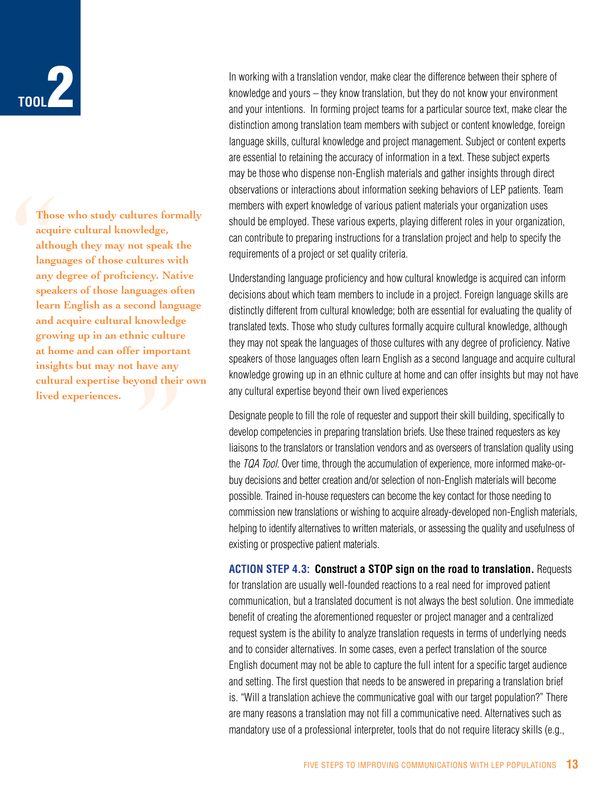

Those<br>acqui<br>altho<br>langu<br>any d<br>speak<br>learn mowledge<br>ic culture<br>have any<br>ond their **Those who study cultures formally acquire cultural knowledge, although they may not speak the languages of those cultures with any degree of proficiency. Native speakers of those languages often learn English as a second language and acquire cultural knowledge growing up in an ethnic culture at home and can offer important insights but may not have any cultural expertise beyond their own lived experiences.**

In working with a translation vendor, make clear the difference between their sphere of knowledge and yours – they know translation, but they do not know your environment and your intentions. In forming project teams for a particular source text, make clear the distinction among translation team members with subject or content knowledge, foreign language skills, cultural knowledge and project management. Subject or content experts are essential to retaining the accuracy of information in a text. These subject experts may be those who dispense non-English materials and gather insights through direct observations or interactions about information seeking behaviors of LEP patients. Team members with expert knowledge of various patient materials your organization uses should be employed. These various experts, playing different roles in your organization, can contribute to preparing instructions for a translation project and help to specify the requirements of a project or set quality criteria.

Understanding language proficiency and how cultural knowledge is acquired can inform decisions about which team members to include in a project. Foreign language skills are distinctly different from cultural knowledge; both are essential for evaluating the quality of translated texts. Those who study cultures formally acquire cultural knowledge, although they may not speak the languages of those cultures with any degree of proficiency. Native speakers of those languages often learn English as a second language and acquire cultural knowledge growing up in an ethnic culture at home and can offer insights but may not have any cultural expertise beyond their own lived experiences

Designate people to fill the role of requester and support their skill building, specifically to develop competencies in preparing translation briefs. Use these trained requesters as key liaisons to the translators or translation vendors and as overseers of translation quality using the *TQA Tool*. Over time, through the accumulation of experience, more informed make-orbuy decisions and better creation and/or selection of non-English materials will become possible. Trained in-house requesters can become the key contact for those needing to commission new translations or wishing to acquire already-developed non-English materials, helping to identify alternatives to written materials, or assessing the quality and usefulness of existing or prospective patient materials.

**Action Step 4.3: Construct a STOP sign on the road to translation.** Requests for translation are usually well-founded reactions to a real need for improved patient communication, but a translated document is not always the best solution. One immediate benefit of creating the aforementioned requester or project manager and a centralized request system is the ability to analyze translation requests in terms of underlying needs and to consider alternatives. In some cases, even a perfect translation of the source English document may not be able to capture the full intent for a specific target audience and setting. The first question that needs to be answered in preparing a translation brief is. "Will a translation achieve the communicative goal with our target population?" There are many reasons a translation may not fill a communicative need. Alternatives such as mandatory use of a professional interpreter, tools that do not require literacy skills (e.g.,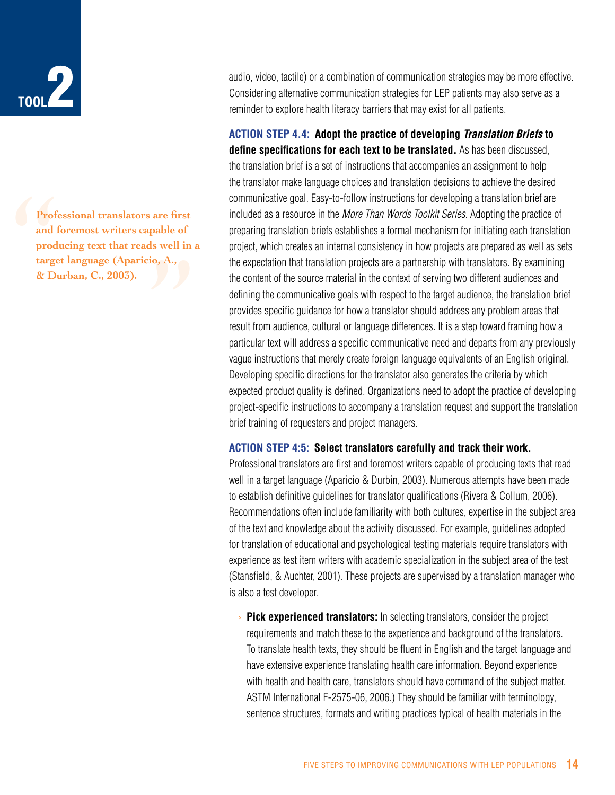

Profe<br>
and f<br>
produ<br>
targe<br>
& Du **Professional translators are first**  are first<br>pable of<br>s well in<br>o, A., **and foremost writers capable of producing text that reads well in a target language (Aparicio, A., & Durban, C., 2003).**

audio, video, tactile) or a combination of communication strategies may be more effective. Considering alternative communication strategies for LEP patients may also serve as a reminder to explore health literacy barriers that may exist for all patients.

**Action Step 4.4: Adopt the practice of developing** *Translation Briefs* **to define specifications for each text to be translated.** As has been discussed, the translation brief is a set of instructions that accompanies an assignment to help the translator make language choices and translation decisions to achieve the desired communicative goal. Easy-to-follow instructions for developing a translation brief are included as a resource in the *More Than Words Toolkit Series*. Adopting the practice of preparing translation briefs establishes a formal mechanism for initiating each translation project, which creates an internal consistency in how projects are prepared as well as sets the expectation that translation projects are a partnership with translators. By examining the content of the source material in the context of serving two different audiences and defining the communicative goals with respect to the target audience, the translation brief provides specific guidance for how a translator should address any problem areas that result from audience, cultural or language differences. It is a step toward framing how a particular text will address a specific communicative need and departs from any previously vague instructions that merely create foreign language equivalents of an English original. Developing specific directions for the translator also generates the criteria by which expected product quality is defined. Organizations need to adopt the practice of developing project-specific instructions to accompany a translation request and support the translation brief training of requesters and project managers.

#### **Action Step 4:5: Select translators carefully and track their work.**

Professional translators are first and foremost writers capable of producing texts that read well in a target language (Aparicio & Durbin, 2003). Numerous attempts have been made to establish definitive guidelines for translator qualifications (Rivera & Collum, 2006). Recommendations often include familiarity with both cultures, expertise in the subject area of the text and knowledge about the activity discussed. For example, guidelines adopted for translation of educational and psychological testing materials require translators with experience as test item writers with academic specialization in the subject area of the test (Stansfield, & Auchter, 2001). These projects are supervised by a translation manager who is also a test developer.

› **Pick experienced translators:** In selecting translators, consider the project requirements and match these to the experience and background of the translators. To translate health texts, they should be fluent in English and the target language and have extensive experience translating health care information. Beyond experience with health and health care, translators should have command of the subject matter. ASTM International F-2575-06, 2006.) They should be familiar with terminology, sentence structures, formats and writing practices typical of health materials in the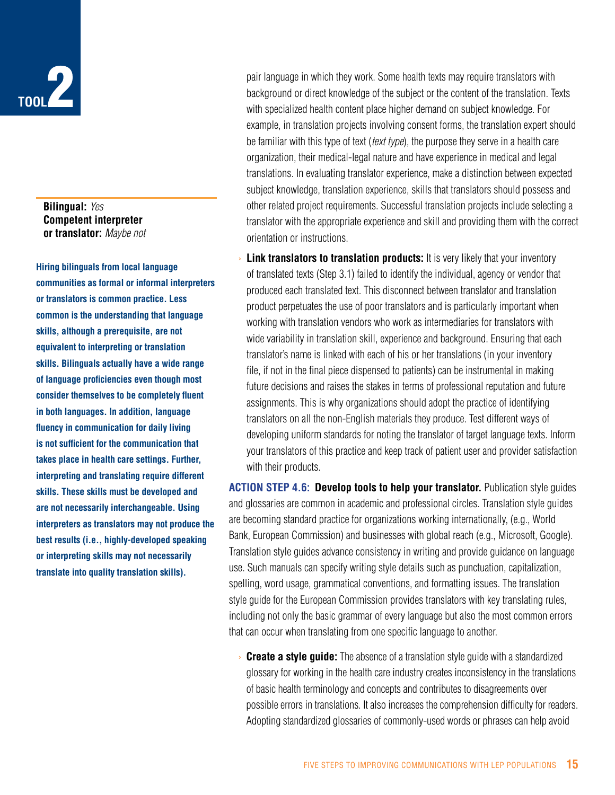

**Bilingual:** *Yes* **Competent interpreter or translator:** *Maybe not*

**Hiring bilinguals from local language communities as formal or informal interpreters or translators is common practice. Less common is the understanding that language skills, although a prerequisite, are not equivalent to interpreting or translation skills. Bilinguals actually have a wide range of language proficiencies even though most consider themselves to be completely fluent in both languages. In addition, language fluency in communication for daily living is not sufficient for the communication that takes place in health care settings. Further, interpreting and translating require different skills. These skills must be developed and are not necessarily interchangeable. Using interpreters as translators may not produce the best results (i.e., highly-developed speaking or interpreting skills may not necessarily translate into quality translation skills).**

pair language in which they work. Some health texts may require translators with background or direct knowledge of the subject or the content of the translation. Texts with specialized health content place higher demand on subject knowledge. For example, in translation projects involving consent forms, the translation expert should be familiar with this type of text (*text type*), the purpose they serve in a health care organization, their medical-legal nature and have experience in medical and legal translations. In evaluating translator experience, make a distinction between expected subject knowledge, translation experience, skills that translators should possess and other related project requirements. Successful translation projects include selecting a translator with the appropriate experience and skill and providing them with the correct orientation or instructions.

**Link translators to translation products:** It is very likely that your inventory of translated texts (Step 3.1) failed to identify the individual, agency or vendor that produced each translated text. This disconnect between translator and translation product perpetuates the use of poor translators and is particularly important when working with translation vendors who work as intermediaries for translators with wide variability in translation skill, experience and background. Ensuring that each translator's name is linked with each of his or her translations (in your inventory file, if not in the final piece dispensed to patients) can be instrumental in making future decisions and raises the stakes in terms of professional reputation and future assignments. This is why organizations should adopt the practice of identifying translators on all the non-English materials they produce. Test different ways of developing uniform standards for noting the translator of target language texts. Inform your translators of this practice and keep track of patient user and provider satisfaction with their products.

**Action Step 4.6: Develop tools to help your translator.** Publication style guides and glossaries are common in academic and professional circles. Translation style guides are becoming standard practice for organizations working internationally, (e.g., World Bank, European Commission) and businesses with global reach (e.g., Microsoft, Google). Translation style guides advance consistency in writing and provide guidance on language use. Such manuals can specify writing style details such as punctuation, capitalization, spelling, word usage, grammatical conventions, and formatting issues. The translation style guide for the European Commission provides translators with key translating rules, including not only the basic grammar of every language but also the most common errors that can occur when translating from one specific language to another.

› **Create a style guide:** The absence of a translation style guide with a standardized glossary for working in the health care industry creates inconsistency in the translations of basic health terminology and concepts and contributes to disagreements over possible errors in translations. It also increases the comprehension difficulty for readers. Adopting standardized glossaries of commonly-used words or phrases can help avoid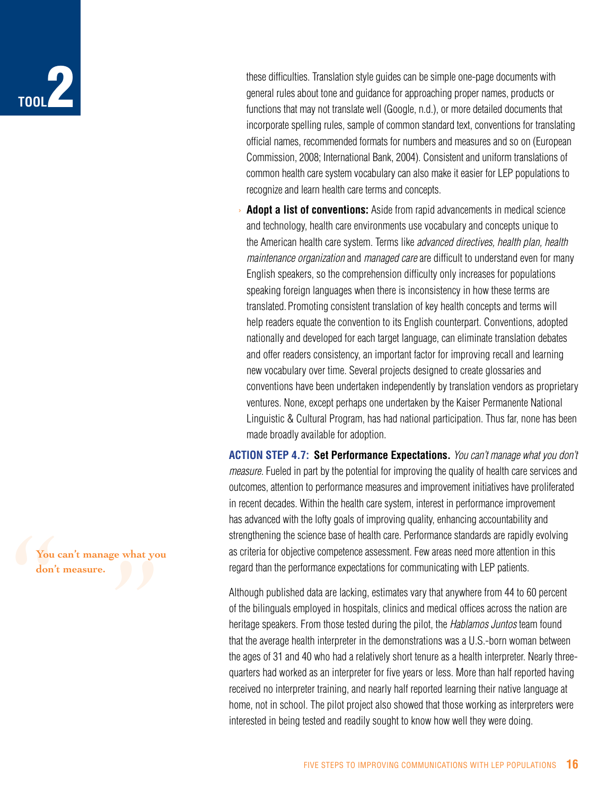

these difficulties. Translation style guides can be simple one-page documents with general rules about tone and guidance for approaching proper names, products or functions that may not translate well (Google, n.d.), or more detailed documents that incorporate spelling rules, sample of common standard text, conventions for translating official names, recommended formats for numbers and measures and so on (European Commission, 2008; International Bank, 2004). Consistent and uniform translations of common health care system vocabulary can also make it easier for LEP populations to recognize and learn health care terms and concepts.

**Adopt a list of conventions:** Aside from rapid advancements in medical science and technology, health care environments use vocabulary and concepts unique to the American health care system. Terms like *advanced directives, health plan, health maintenance organization* and *managed care* are difficult to understand even for many English speakers, so the comprehension difficulty only increases for populations speaking foreign languages when there is inconsistency in how these terms are translated. Promoting consistent translation of key health concepts and terms will help readers equate the convention to its English counterpart. Conventions, adopted nationally and developed for each target language, can eliminate translation debates and offer readers consistency, an important factor for improving recall and learning new vocabulary over time. Several projects designed to create glossaries and conventions have been undertaken independently by translation vendors as proprietary ventures. None, except perhaps one undertaken by the Kaiser Permanente National Linguistic & Cultural Program, has had national participation. Thus far, none has been made broadly available for adoption.

**Action Step 4.7: Set Performance Expectations.** *You can't manage what you don't measure.* Fueled in part by the potential for improving the quality of health care services and outcomes, attention to performance measures and improvement initiatives have proliferated in recent decades. Within the health care system, interest in performance improvement has advanced with the lofty goals of improving quality, enhancing accountability and strengthening the science base of health care. Performance standards are rapidly evolving as criteria for objective competence assessment. Few areas need more attention in this regard than the performance expectations for communicating with LEP patients.

Although published data are lacking, estimates vary that anywhere from 44 to 60 percent of the bilinguals employed in hospitals, clinics and medical offices across the nation are heritage speakers. From those tested during the pilot, the *Hablamos Juntos* team found that the average health interpreter in the demonstrations was a U.S.-born woman between the ages of 31 and 40 who had a relatively short tenure as a health interpreter. Nearly threequarters had worked as an interpreter for five years or less. More than half reported having received no interpreter training, and nearly half reported learning their native language at home, not in school. The pilot project also showed that those working as interpreters were interested in being tested and readily sought to know how well they were doing.

You can't manage what you can't manage what you can't manage what you can't manage what you can see the set of the set of the set of the set of the set of the set of the set of the set of the set of the set of the set of t **You can't manage what you don't measure.**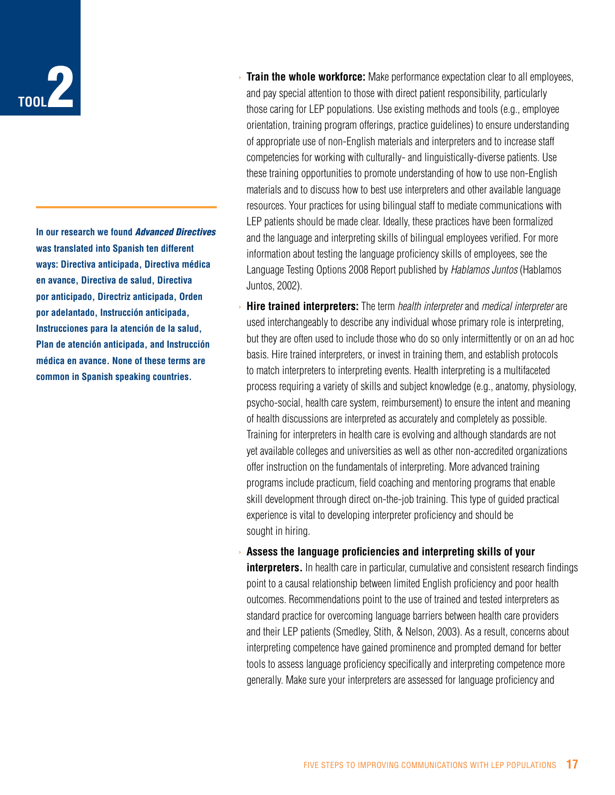

**In our research we found** *Advanced Directives* **was translated into Spanish ten different ways: Directiva anticipada, Directiva médica en avance, Directiva de salud, Directiva por anticipado, Directriz anticipada, Orden por adelantado, Instrucción anticipada, Instrucciones para la atención de la salud, Plan de atención anticipada, and Instrucción médica en avance. None of these terms are common in Spanish speaking countries.**

- › **Train the whole workforce:** Make performance expectation clear to all employees, and pay special attention to those with direct patient responsibility, particularly those caring for LEP populations. Use existing methods and tools (e.g., employee orientation, training program offerings, practice guidelines) to ensure understanding of appropriate use of non-English materials and interpreters and to increase staff competencies for working with culturally- and linguistically-diverse patients. Use these training opportunities to promote understanding of how to use non-English materials and to discuss how to best use interpreters and other available language resources. Your practices for using bilingual staff to mediate communications with LEP patients should be made clear. Ideally, these practices have been formalized and the language and interpreting skills of bilingual employees verified. For more information about testing the language proficiency skills of employees, see the Language Testing Options 2008 Report published by *Hablamos Juntos* (Hablamos Juntos, 2002).
- **Hire trained interpreters:** The term *health interpreter* and *medical interpreter* are used interchangeably to describe any individual whose primary role is interpreting, but they are often used to include those who do so only intermittently or on an ad hoc basis. Hire trained interpreters, or invest in training them, and establish protocols to match interpreters to interpreting events. Health interpreting is a multifaceted process requiring a variety of skills and subject knowledge (e.g., anatomy, physiology, psycho-social, health care system, reimbursement) to ensure the intent and meaning of health discussions are interpreted as accurately and completely as possible. Training for interpreters in health care is evolving and although standards are not yet available colleges and universities as well as other non-accredited organizations offer instruction on the fundamentals of interpreting. More advanced training programs include practicum, field coaching and mentoring programs that enable skill development through direct on-the-job training. This type of guided practical experience is vital to developing interpreter proficiency and should be sought in hiring.
- › **Assess the language proficiencies and interpreting skills of your interpreters.** In health care in particular, cumulative and consistent research findings point to a causal relationship between limited English proficiency and poor health outcomes. Recommendations point to the use of trained and tested interpreters as standard practice for overcoming language barriers between health care providers and their LEP patients (Smedley, Stith, & Nelson, 2003). As a result, concerns about interpreting competence have gained prominence and prompted demand for better tools to assess language proficiency specifically and interpreting competence more generally. Make sure your interpreters are assessed for language proficiency and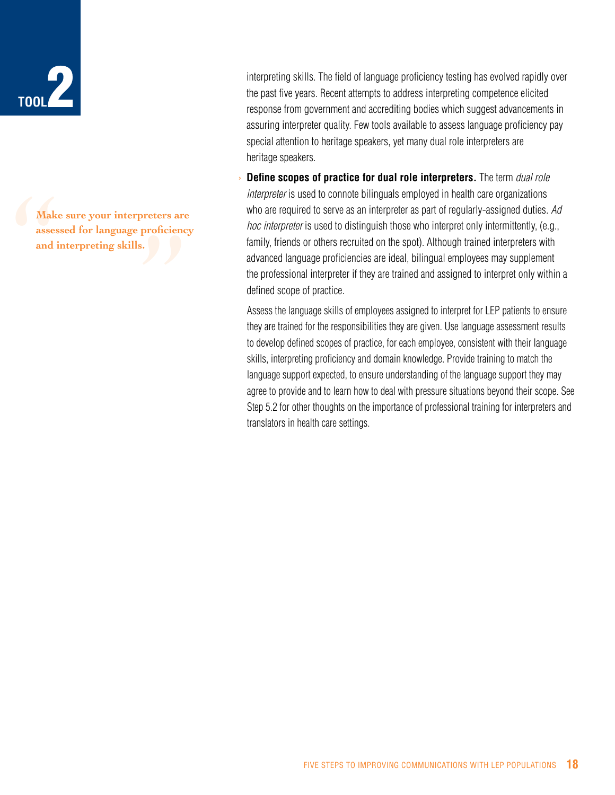

Make<br>assess<br>and in reters are<br>proficienc<br>.<br>. **Make sure your interpreters are assessed for language proficiency and interpreting skills.**

interpreting skills. The field of language proficiency testing has evolved rapidly over the past five years. Recent attempts to address interpreting competence elicited response from government and accrediting bodies which suggest advancements in assuring interpreter quality. Few tools available to assess language proficiency pay special attention to heritage speakers, yet many dual role interpreters are heritage speakers.

**Define scopes of practice for dual role interpreters.** The term *dual role interpreter* is used to connote bilinguals employed in health care organizations who are required to serve as an interpreter as part of regularly-assigned duties. *Ad hoc interpreter* is used to distinguish those who interpret only intermittently, (e.g., family, friends or others recruited on the spot). Although trained interpreters with advanced language proficiencies are ideal, bilingual employees may supplement the professional interpreter if they are trained and assigned to interpret only within a defined scope of practice.

Assess the language skills of employees assigned to interpret for LEP patients to ensure they are trained for the responsibilities they are given. Use language assessment results to develop defined scopes of practice, for each employee, consistent with their language skills, interpreting proficiency and domain knowledge. Provide training to match the language support expected, to ensure understanding of the language support they may agree to provide and to learn how to deal with pressure situations beyond their scope. See Step 5.2 for other thoughts on the importance of professional training for interpreters and translators in health care settings.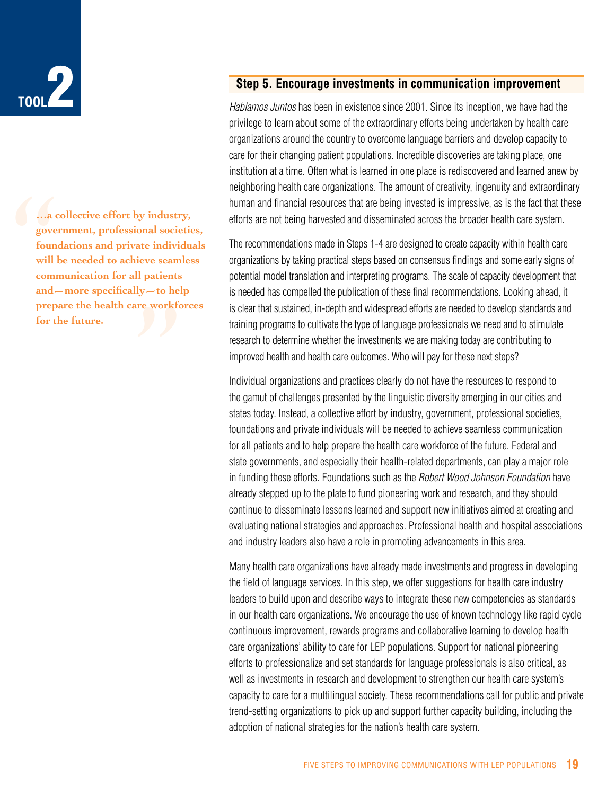

a comment<br>gover<br>found<br>will b<br>comm<br>and—<br>prepa ite marvid<br>| patients<br>| patients<br>|<br>|re workfc **…a collective effort by industry, government, professional societies, foundations and private individuals will be needed to achieve seamless communication for all patients and—more specifically—to help prepare the health care workforces for the future.**

#### **Step 5. Encourage investments in communication improvement**

*Hablamos Juntos* has been in existence since 2001. Since its inception, we have had the privilege to learn about some of the extraordinary efforts being undertaken by health care organizations around the country to overcome language barriers and develop capacity to care for their changing patient populations. Incredible discoveries are taking place, one institution at a time. Often what is learned in one place is rediscovered and learned anew by neighboring health care organizations. The amount of creativity, ingenuity and extraordinary human and financial resources that are being invested is impressive, as is the fact that these efforts are not being harvested and disseminated across the broader health care system.

The recommendations made in Steps 1-4 are designed to create capacity within health care organizations by taking practical steps based on consensus findings and some early signs of potential model translation and interpreting programs. The scale of capacity development that is needed has compelled the publication of these final recommendations. Looking ahead, it is clear that sustained, in-depth and widespread efforts are needed to develop standards and training programs to cultivate the type of language professionals we need and to stimulate research to determine whether the investments we are making today are contributing to improved health and health care outcomes. Who will pay for these next steps?

Individual organizations and practices clearly do not have the resources to respond to the gamut of challenges presented by the linguistic diversity emerging in our cities and states today. Instead, a collective effort by industry, government, professional societies, foundations and private individuals will be needed to achieve seamless communication for all patients and to help prepare the health care workforce of the future. Federal and state governments, and especially their health-related departments, can play a major role in funding these efforts. Foundations such as the *Robert Wood Johnson Foundation* have already stepped up to the plate to fund pioneering work and research, and they should continue to disseminate lessons learned and support new initiatives aimed at creating and evaluating national strategies and approaches. Professional health and hospital associations and industry leaders also have a role in promoting advancements in this area.

Many health care organizations have already made investments and progress in developing the field of language services. In this step, we offer suggestions for health care industry leaders to build upon and describe ways to integrate these new competencies as standards in our health care organizations. We encourage the use of known technology like rapid cycle continuous improvement, rewards programs and collaborative learning to develop health care organizations' ability to care for LEP populations. Support for national pioneering efforts to professionalize and set standards for language professionals is also critical, as well as investments in research and development to strengthen our health care system's capacity to care for a multilingual society. These recommendations call for public and private trend-setting organizations to pick up and support further capacity building, including the adoption of national strategies for the nation's health care system.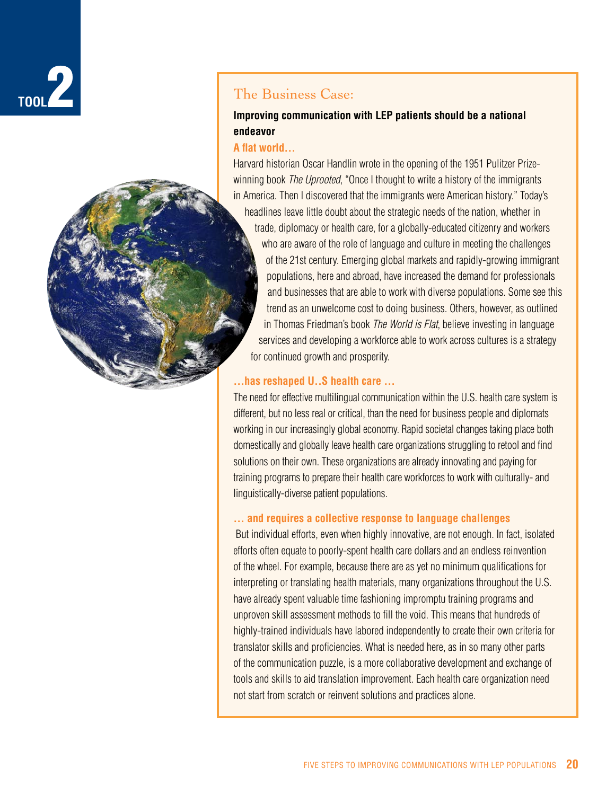



## **Improving communication with LEP patients should be a national endeavor**

#### **A flat world…**

Harvard historian Oscar Handlin wrote in the opening of the 1951 Pulitzer Prizewinning book *The Uprooted*, "Once I thought to write a history of the immigrants in America. Then I discovered that the immigrants were American history." Today's headlines leave little doubt about the strategic needs of the nation, whether in trade, diplomacy or health care, for a globally-educated citizenry and workers who are aware of the role of language and culture in meeting the challenges of the 21st century. Emerging global markets and rapidly-growing immigrant populations, here and abroad, have increased the demand for professionals and businesses that are able to work with diverse populations. Some see this trend as an unwelcome cost to doing business. Others, however, as outlined in Thomas Friedman's book *The World is Flat*, believe investing in language services and developing a workforce able to work across cultures is a strategy for continued growth and prosperity.

#### **…has reshaped U..S health care …**

The need for effective multilingual communication within the U.S. health care system is different, but no less real or critical, than the need for business people and diplomats working in our increasingly global economy. Rapid societal changes taking place both domestically and globally leave health care organizations struggling to retool and find solutions on their own. These organizations are already innovating and paying for training programs to prepare their health care workforces to work with culturally- and linguistically-diverse patient populations.

#### **… and requires a collective response to language challenges**

 But individual efforts, even when highly innovative, are not enough. In fact, isolated efforts often equate to poorly-spent health care dollars and an endless reinvention of the wheel. For example, because there are as yet no minimum qualifications for interpreting or translating health materials, many organizations throughout the U.S. have already spent valuable time fashioning impromptu training programs and unproven skill assessment methods to fill the void. This means that hundreds of highly-trained individuals have labored independently to create their own criteria for translator skills and proficiencies. What is needed here, as in so many other parts of the communication puzzle, is a more collaborative development and exchange of tools and skills to aid translation improvement. Each health care organization need not start from scratch or reinvent solutions and practices alone.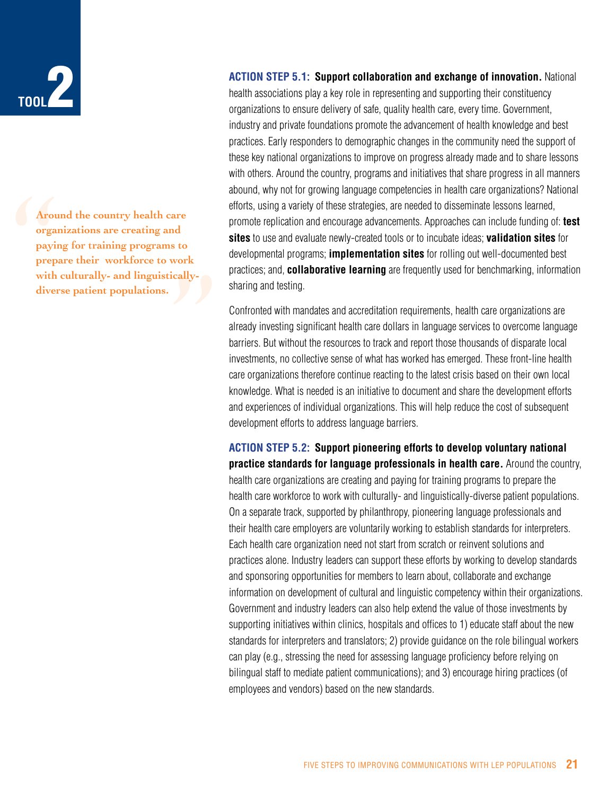

Aroum<br>
organ<br>
payin<br>
prepa<br>
with<br>
diver **Around the country health care organizations are creating and**  are<br>d<br>s to<br>cally-<br>discribed and the cally**paying for training programs to prepare their workforce to work with culturally- and linguisticallydiverse patient populations.**

**ACTION STEP 5.1: Support collaboration and exchange of innovation.** National

health associations play a key role in representing and supporting their constituency organizations to ensure delivery of safe, quality health care, every time. Government, industry and private foundations promote the advancement of health knowledge and best practices. Early responders to demographic changes in the community need the support of these key national organizations to improve on progress already made and to share lessons with others. Around the country, programs and initiatives that share progress in all manners abound, why not for growing language competencies in health care organizations? National efforts, using a variety of these strategies, are needed to disseminate lessons learned, promote replication and encourage advancements. Approaches can include funding of: **test sites** to use and evaluate newly-created tools or to incubate ideas; **validation sites** for developmental programs; **implementation sites** for rolling out well-documented best practices; and, **collaborative learning** are frequently used for benchmarking, information sharing and testing.

Confronted with mandates and accreditation requirements, health care organizations are already investing significant health care dollars in language services to overcome language barriers. But without the resources to track and report those thousands of disparate local investments, no collective sense of what has worked has emerged. These front-line health care organizations therefore continue reacting to the latest crisis based on their own local knowledge. What is needed is an initiative to document and share the development efforts and experiences of individual organizations. This will help reduce the cost of subsequent development efforts to address language barriers.

**Action Step 5.2: Support pioneering efforts to develop voluntary national practice standards for language professionals in health care.** Around the country, health care organizations are creating and paying for training programs to prepare the health care workforce to work with culturally- and linguistically-diverse patient populations. On a separate track, supported by philanthropy, pioneering language professionals and their health care employers are voluntarily working to establish standards for interpreters. Each health care organization need not start from scratch or reinvent solutions and practices alone. Industry leaders can support these efforts by working to develop standards and sponsoring opportunities for members to learn about, collaborate and exchange information on development of cultural and linguistic competency within their organizations. Government and industry leaders can also help extend the value of those investments by supporting initiatives within clinics, hospitals and offices to 1) educate staff about the new standards for interpreters and translators; 2) provide guidance on the role bilingual workers can play (e.g., stressing the need for assessing language proficiency before relying on bilingual staff to mediate patient communications); and 3) encourage hiring practices (of employees and vendors) based on the new standards.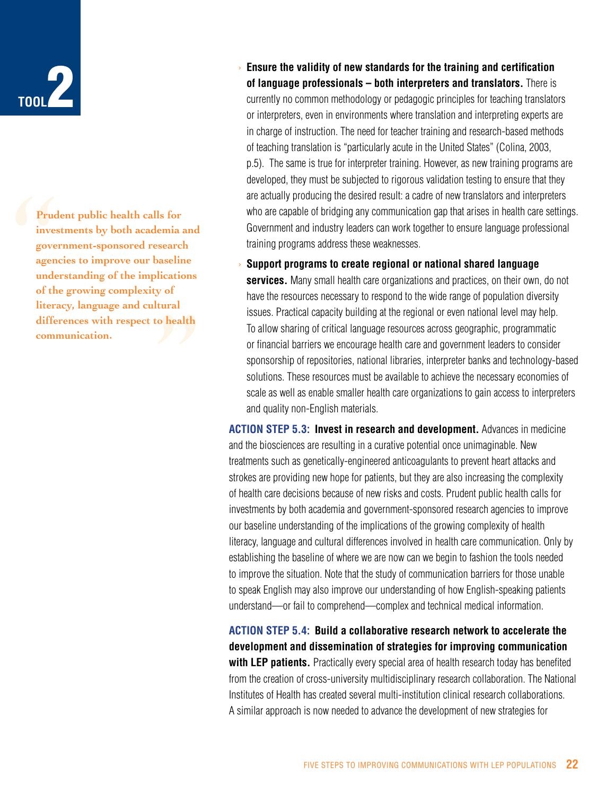

Prude<br>
inves<br>
gover<br>
agenc<br>
under<br>
of the<br>
litera aseline<br>|ications<br>|y of<br>|ural<br>|o health **Prudent public health calls for investments by both academia and government-sponsored research agencies to improve our baseline understanding of the implications of the growing complexity of literacy, language and cultural differences with respect to health communication.**

- › **Ensure the validity of new standards for the training and certification of language professionals – both interpreters and translators.** There is currently no common methodology or pedagogic principles for teaching translators or interpreters, even in environments where translation and interpreting experts are in charge of instruction. The need for teacher training and research-based methods of teaching translation is "particularly acute in the United States" (Colina, 2003, p.5). The same is true for interpreter training. However, as new training programs are developed, they must be subjected to rigorous validation testing to ensure that they are actually producing the desired result: a cadre of new translators and interpreters who are capable of bridging any communication gap that arises in health care settings. Government and industry leaders can work together to ensure language professional training programs address these weaknesses.
- › **Support programs to create regional or national shared language services.** Many small health care organizations and practices, on their own, do not have the resources necessary to respond to the wide range of population diversity issues. Practical capacity building at the regional or even national level may help. To allow sharing of critical language resources across geographic, programmatic or financial barriers we encourage health care and government leaders to consider sponsorship of repositories, national libraries, interpreter banks and technology-based solutions. These resources must be available to achieve the necessary economies of scale as well as enable smaller health care organizations to gain access to interpreters and quality non-English materials.

**Action Step 5.3: Invest in research and development.** Advances in medicine and the biosciences are resulting in a curative potential once unimaginable. New treatments such as genetically-engineered anticoagulants to prevent heart attacks and strokes are providing new hope for patients, but they are also increasing the complexity of health care decisions because of new risks and costs. Prudent public health calls for investments by both academia and government-sponsored research agencies to improve our baseline understanding of the implications of the growing complexity of health literacy, language and cultural differences involved in health care communication. Only by establishing the baseline of where we are now can we begin to fashion the tools needed to improve the situation. Note that the study of communication barriers for those unable to speak English may also improve our understanding of how English-speaking patients understand—or fail to comprehend—complex and technical medical information.

## **Action Step 5.4: Build a collaborative research network to accelerate the development and dissemination of strategies for improving communication**

**with LEP patients.** Practically every special area of health research today has benefited from the creation of cross-university multidisciplinary research collaboration. The National Institutes of Health has created several multi-institution clinical research collaborations. A similar approach is now needed to advance the development of new strategies for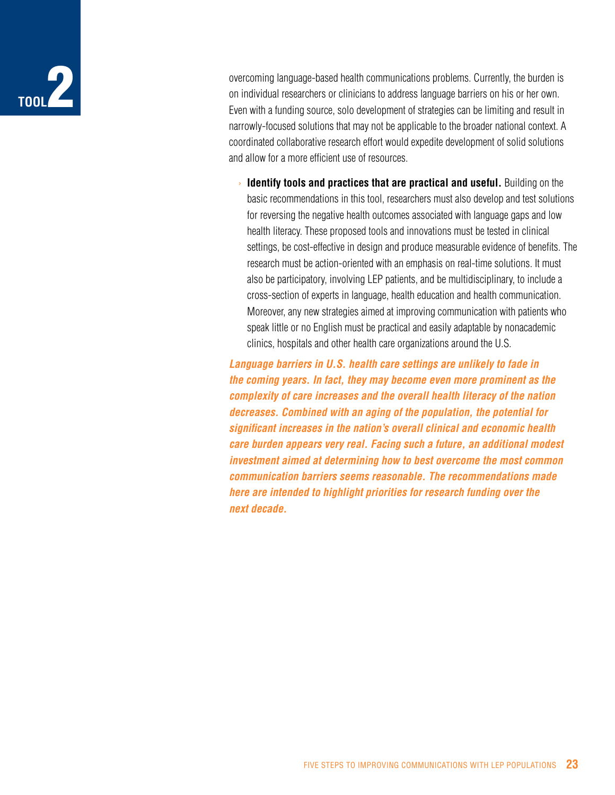

overcoming language-based health communications problems. Currently, the burden is on individual researchers or clinicians to address language barriers on his or her own. Even with a funding source, solo development of strategies can be limiting and result in narrowly-focused solutions that may not be applicable to the broader national context. A coordinated collaborative research effort would expedite development of solid solutions and allow for a more efficient use of resources.

› **Identify tools and practices that are practical and useful.** Building on the basic recommendations in this tool, researchers must also develop and test solutions for reversing the negative health outcomes associated with language gaps and low health literacy. These proposed tools and innovations must be tested in clinical settings, be cost-effective in design and produce measurable evidence of benefits. The research must be action-oriented with an emphasis on real-time solutions. It must also be participatory, involving LEP patients, and be multidisciplinary, to include a cross-section of experts in language, health education and health communication. Moreover, any new strategies aimed at improving communication with patients who speak little or no English must be practical and easily adaptable by nonacademic clinics, hospitals and other health care organizations around the U.S.

*Language barriers in U.S. health care settings are unlikely to fade in the coming years. In fact, they may become even more prominent as the complexity of care increases and the overall health literacy of the nation decreases. Combined with an aging of the population, the potential for significant increases in the nation's overall clinical and economic health care burden appears very real. Facing such a future, an additional modest investment aimed at determining how to best overcome the most common communication barriers seems reasonable. The recommendations made here are intended to highlight priorities for research funding over the next decade.*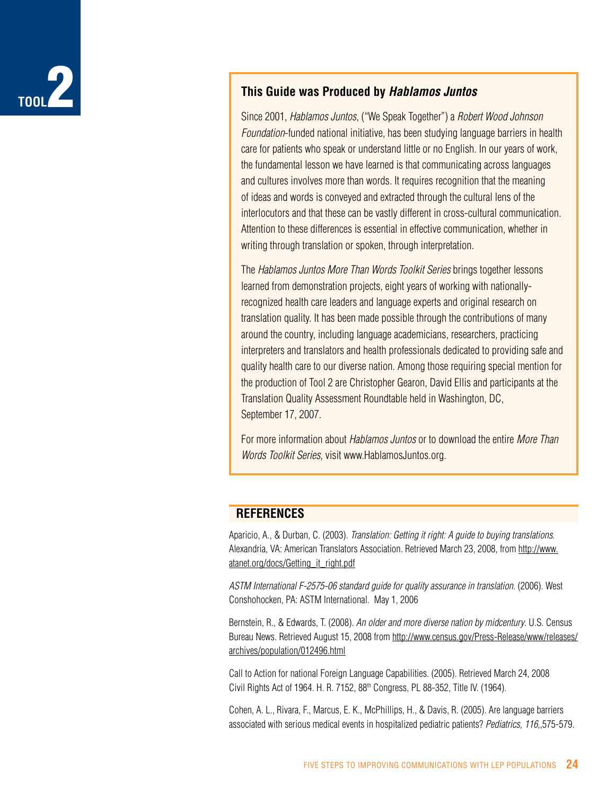

## **This Guide was Produced by** *Hablamos Juntos*

Since 2001, *Hablamos Juntos*, ("We Speak Together") a *Robert Wood Johnson Foundation*-funded national initiative, has been studying language barriers in health care for patients who speak or understand little or no English. In our years of work, the fundamental lesson we have learned is that communicating across languages and cultures involves more than words. It requires recognition that the meaning of ideas and words is conveyed and extracted through the cultural lens of the interlocutors and that these can be vastly different in cross-cultural communication. Attention to these differences is essential in effective communication, whether in writing through translation or spoken, through interpretation.

The *Hablamos Juntos More Than Words Toolkit Series* brings together lessons learned from demonstration projects, eight years of working with nationallyrecognized health care leaders and language experts and original research on translation quality. It has been made possible through the contributions of many around the country, including language academicians, researchers, practicing interpreters and translators and health professionals dedicated to providing safe and quality health care to our diverse nation. Among those requiring special mention for the production of Tool 2 are Christopher Gearon, David Ellis and participants at the Translation Quality Assessment Roundtable held in Washington, DC, September 17, 2007.

For more information about *Hablamos Juntos* or to download the entire *More Than Words Toolkit Series,* visit www.HablamosJuntos.org.

## **REFERENCES**

Aparicio, A., & Durban, C. (2003). *Translation: Getting it right: A guide to buying translations*. Alexandria, VA: American Translators Association. Retrieved March 23, 2008, from http://www. atanet.org/docs/Getting\_it\_right.pdf

*ASTM International F-2575-06 standard guide for quality assurance in translation*. (2006). West Conshohocken, PA: ASTM International. May 1, 2006

Bernstein, R., & Edwards, T. (2008). *An older and more diverse nation by midcentury*. U.S. Census Bureau News. Retrieved August 15, 2008 from http://www.census.gov/Press-Release/www/releases/ archives/population/012496.html

Call to Action for national Foreign Language Capabilities. (2005). Retrieved March 24, 2008 Civil Rights Act of 1964. H. R. 7152, 88<sup>th</sup> Congress, PL 88-352, Title IV. (1964).

Cohen, A. L., Rivara, F., Marcus, E. K., McPhillips, H., & Davis, R. (2005). Are language barriers associated with serious medical events in hospitalized pediatric patients? *Pediatrics, 116,*,575-579.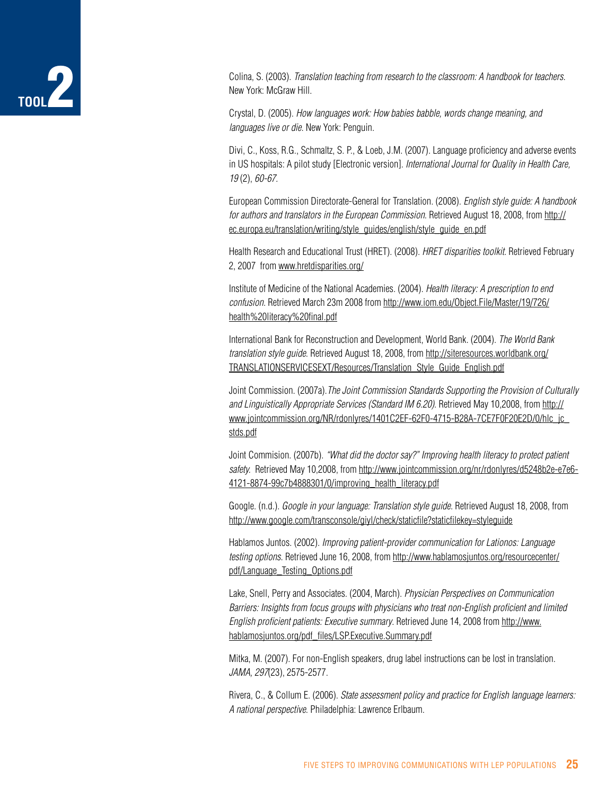## **Tool**2

Colina, S. (2003). *Translation teaching from research to the classroom: A handbook for teachers*. New York: McGraw Hill.

Crystal, D. (2005). *How languages work: How babies babble, words change meaning, and languages live or die*. New York: Penguin.

Divi, C., Koss, R.G., Schmaltz, S. P., & Loeb, J.M. (2007). Language proficiency and adverse events in US hospitals: A pilot study [Electronic version]. *International Journal for Quality in Health Care, 19* (2), *60-67.* 

European Commission Directorate-General for Translation. (2008). *English style guide: A handbook for authors and translators in the European Commission*. Retrieved August 18, 2008, from http:// ec.europa.eu/translation/writing/style\_guides/english/style\_guide\_en.pdf

Health Research and Educational Trust (HRET). (2008). *HRET disparities toolkit*. Retrieved February 2, 2007 from www.hretdisparities.org/

Institute of Medicine of the National Academies. (2004). *Health literacy: A prescription to end confusion*. Retrieved March 23m 2008 from http://www.iom.edu/Object.File/Master/19/726/ health%20literacy%20final.pdf

International Bank for Reconstruction and Development, World Bank. (2004). *The World Bank translation style guide*. Retrieved August 18, 2008, from http://siteresources.worldbank.org/ TRANSLATIONSERVICESEXT/Resources/Translation\_Style\_Guide\_English.pdf

Joint Commission. (2007a).*The Joint Commission Standards Supporting the Provision of Culturally and Linguistically Appropriate Services (Standard IM 6.20)*. Retrieved May 10,2008, from http:// www.jointcommission.org/NR/rdonlyres/1401C2EF-62F0-4715-B28A-7CE7F0F20E2D/0/hlc\_jc\_ stds.pdf

Joint Commision. (2007b). *"What did the doctor say?" Improving health literacy to protect patient safety.* Retrieved May 10,2008, from http://www.jointcommission.org/nr/rdonlyres/d5248b2e-e7e6- 4121-8874-99c7b4888301/0/improving\_health\_literacy.pdf

Google. (n.d.). *Google in your language: Translation style guide*. Retrieved August 18, 2008, from http://www.google.com/transconsole/giyl/check/staticfile?staticfilekey=styleguide

Hablamos Juntos. (2002). *Improving patient-provider communication for Lationos: Language testing options*. Retrieved June 16, 2008, from http://www.hablamosjuntos.org/resourcecenter/ pdf/Language\_Testing\_Options.pdf

Lake, Snell, Perry and Associates. (2004, March). *Physician Perspectives on Communication Barriers: Insights from focus groups with physicians who treat non-English proficient and limited English proficient patients: Executive summary*. Retrieved June 14, 2008 from http://www. hablamosjuntos.org/pdf\_files/LSP.Executive.Summary.pdf

Mitka, M. (2007). For non-English speakers, drug label instructions can be lost in translation. *JAMA, 297*(23), 2575-2577.

Rivera, C., & Collum E. (2006). *State assessment policy and practice for English language learners: A national perspective*. Philadelphia: Lawrence Erlbaum.